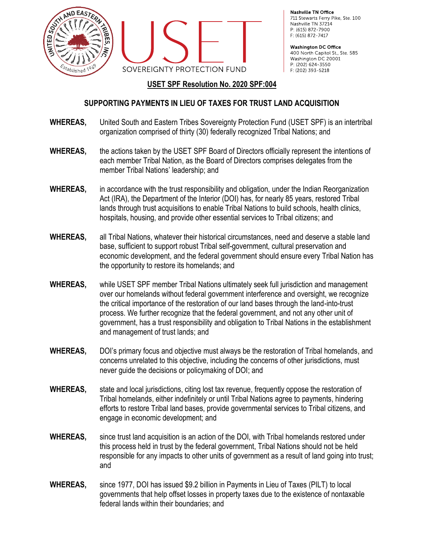



Nashville TN Office 711 Stewarts Ferry Pike, Ste. 100 Nashville TN 37214 P: (615) 872-7900 F: (615) 872-7417

**Washington DC Office** 400 North Capitol St., Ste. 585 Washington DC 20001 P: (202) 624-3550 F: (202) 393-5218

## **USET SPF Resolution No. 2020 SPF:004**

## **SUPPORTING PAYMENTS IN LIEU OF TAXES FOR TRUST LAND ACQUISITION**

- **WHEREAS,** United South and Eastern Tribes Sovereignty Protection Fund (USET SPF) is an intertribal organization comprised of thirty (30) federally recognized Tribal Nations; and
- **WHEREAS,** the actions taken by the USET SPF Board of Directors officially represent the intentions of each member Tribal Nation, as the Board of Directors comprises delegates from the member Tribal Nations' leadership; and
- **WHEREAS,** in accordance with the trust responsibility and obligation, under the Indian Reorganization Act (IRA), the Department of the Interior (DOI) has, for nearly 85 years, restored Tribal lands through trust acquisitions to enable Tribal Nations to build schools, health clinics, hospitals, housing, and provide other essential services to Tribal citizens; and
- **WHEREAS,** all Tribal Nations, whatever their historical circumstances, need and deserve a stable land base, sufficient to support robust Tribal self-government, cultural preservation and economic development, and the federal government should ensure every Tribal Nation has the opportunity to restore its homelands; and
- **WHEREAS,** while USET SPF member Tribal Nations ultimately seek full jurisdiction and management over our homelands without federal government interference and oversight, we recognize the critical importance of the restoration of our land bases through the land-into-trust process. We further recognize that the federal government, and not any other unit of government, has a trust responsibility and obligation to Tribal Nations in the establishment and management of trust lands; and
- **WHEREAS,** DOI's primary focus and objective must always be the restoration of Tribal homelands, and concerns unrelated to this objective, including the concerns of other jurisdictions, must never guide the decisions or policymaking of DOI; and
- **WHEREAS,** state and local jurisdictions, citing lost tax revenue, frequently oppose the restoration of Tribal homelands, either indefinitely or until Tribal Nations agree to payments, hindering efforts to restore Tribal land bases, provide governmental services to Tribal citizens, and engage in economic development; and
- **WHEREAS,** since trust land acquisition is an action of the DOI, with Tribal homelands restored under this process held in trust by the federal government, Tribal Nations should not be held responsible for any impacts to other units of government as a result of land going into trust; and
- **WHEREAS,** since 1977, DOI has issued \$9.2 billion in Payments in Lieu of Taxes (PILT) to local governments that help offset losses in property taxes due to the existence of nontaxable federal lands within their boundaries; and